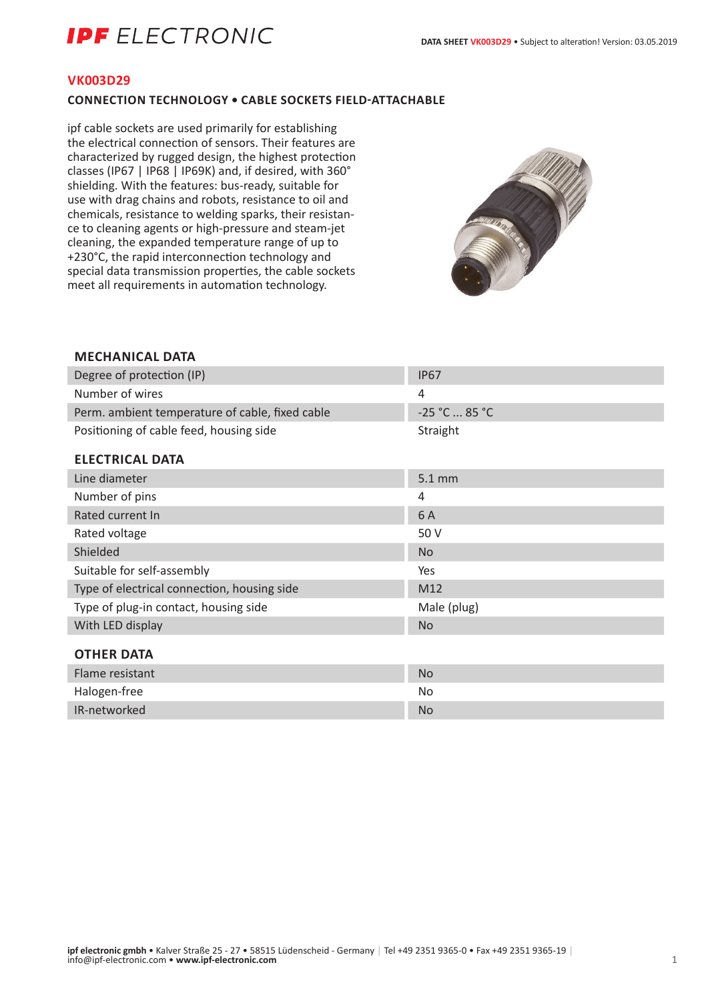# **IDF** FI FCTRONIC

#### **VK003D29**

### **CONNECTION TECHNOLOGY • CABLE SOCKETS FIELD-ATTACHABLE**

ipf cable sockets are used primarily for establishing the electrical connection of sensors. Their features are characterized by rugged design, the highest protection classes (IP67 | IP68 | IP69K) and, if desired, with 360° shielding. With the features: bus-ready, suitable for use with drag chains and robots, resistance to oil and chemicals, resistance to welding sparks, their resistance to cleaning agents or high-pressure and steam-jet cleaning, the expanded temperature range of up to +230°C, the rapid interconnection technology and special data transmission properties, the cable sockets meet all requirements in automation technology.



# **MECHANICAL DATA** Degree of protection (IP) **IP67** Number of wires 4 Perm. ambient temperature of cable, fixed cable  $-25$  °C ... 85 °C Positioning of cable feed, housing side Straight **ELECTRICAL DATA** Line diameter 5.1 mm Number of pins 4 Rated current In 6 A Rated voltage 60 V Shielded No. 2008. The Shielded No. 2008. The Shielded No. 2008. The Shielded No. 2008. The Shielded No. 2008. Suitable for self-assembly Yes Type of electrical connection, housing side M12 Type of plug-in contact, housing side Male (plug) Male (plug) With LED display No. 2008. The contract of the contract of the contract of the contract of the contract of the contract of the contract of the contract of the contract of the contract of the contract of the contract of the **OTHER DATA** Flame resistant No. 2006. The Contract of the Contract of the Contract of the Contract of the Contract of the Contract of the Contract of the Contract of the Contract of the Contract of the Contract of the Contract of the Halogen-free No IR-networked No. 2008 and 2008 and 2008 and 2008 and 2008 and 2008 and 2008 and 2008 and 2008 and 2008 and 200